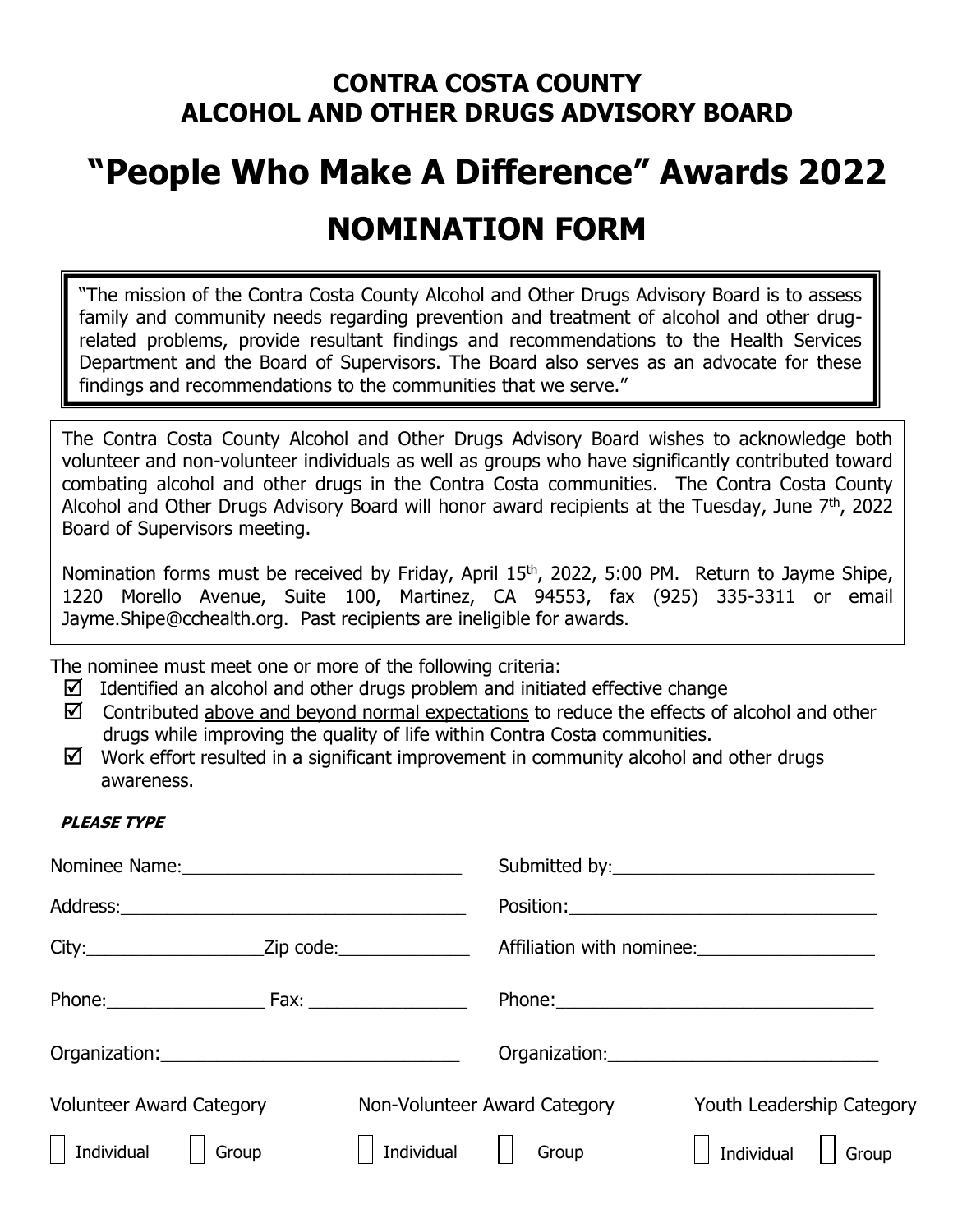## **CONTRA COSTA COUNTY ALCOHOL AND OTHER DRUGS ADVISORY BOARD**

# **"People Who Make A Difference" Awards 2022 NOMINATION FORM**

"The mission of the Contra Costa County Alcohol and Other Drugs Advisory Board is to assess family and community needs regarding prevention and treatment of alcohol and other drugrelated problems, provide resultant findings and recommendations to the Health Services Department and the Board of Supervisors. The Board also serves as an advocate for these findings and recommendations to the communities that we serve."

The Contra Costa County Alcohol and Other Drugs Advisory Board wishes to acknowledge both volunteer and non-volunteer individuals as well as groups who have significantly contributed toward combating alcohol and other drugs in the Contra Costa communities. The Contra Costa County Alcohol and Other Drugs Advisory Board will honor award recipients at the Tuesday, June 7<sup>th</sup>, 2022 Board of Supervisors meeting.

Nomination forms must be received by Friday, April 15<sup>th</sup>, 2022, 5:00 PM. Return to Jayme Shipe, 1220 Morello Avenue, Suite 100, Martinez, CA 94553, fax (925) 335-3311 or email Jayme.Shipe@cchealth.org. Past recipients are ineligible for awards.

The nominee must meet one or more of the following criteria:

- $\boxtimes$  Identified an alcohol and other drugs problem and initiated effective change
- $\boxtimes$  Contributed above and beyond normal expectations to reduce the effects of alcohol and other drugs while improving the quality of life within Contra Costa communities.
- $\boxtimes$  Work effort resulted in a significant improvement in community alcohol and other drugs awareness.

#### **PLEASE TYPE**

| City:_________________________Zip code:__________________ |                    |                              | Affiliation with nominee:                       |
|-----------------------------------------------------------|--------------------|------------------------------|-------------------------------------------------|
| Phone: Fax: 1990 Phone:                                   |                    |                              |                                                 |
|                                                           |                    |                              | Organization: _________________________________ |
| <b>Volunteer Award Category</b>                           |                    | Non-Volunteer Award Category | Youth Leadership Category                       |
| $\Box$ Individual $\Box$ Group                            | $\vert$ Individual | Group                        | $\Box$ Individual $\Box$ Group                  |